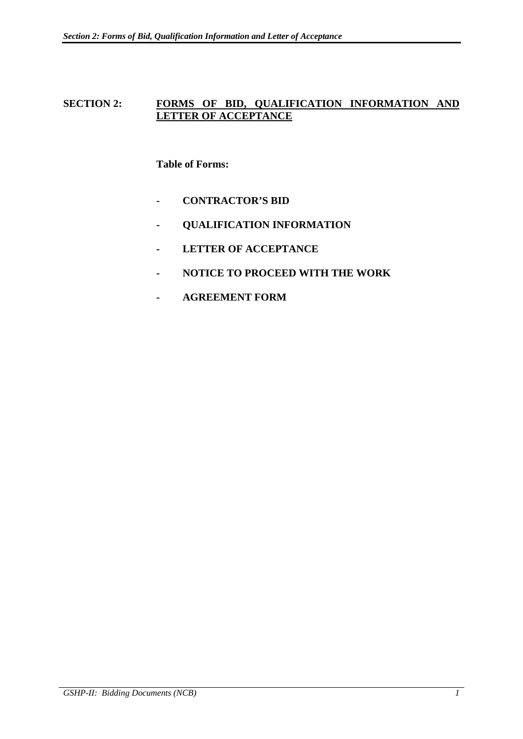# SECTION 2: FORMS OF BID, QUALIFICATION INFORMATION AND **LETTER OF ACCEPTANCE**

# **Table of Forms:**

- **CONTRACTOR'S BID**
- **QUALIFICATION INFORMATION**
- **LETTER OF ACCEPTANCE**
- **NOTICE TO PROCEED WITH THE WORK**
- **AGREEMENT FORM**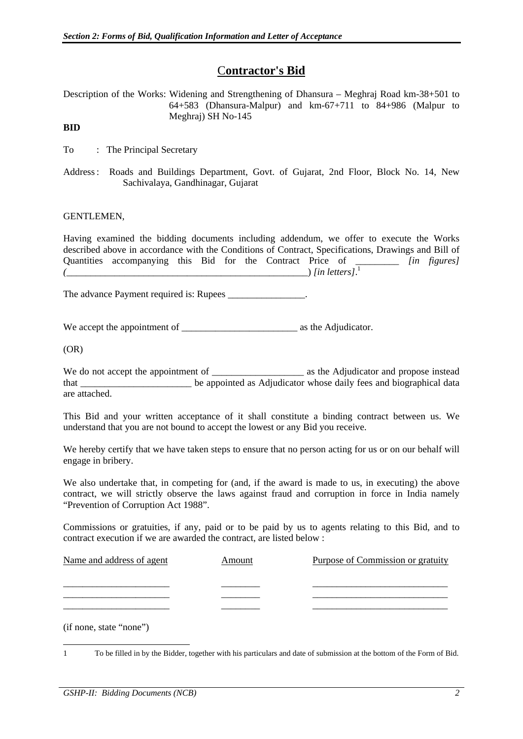# C**ontractor's Bid**

Description of the Works: Widening and Strengthening of Dhansura – Meghraj Road km-38+501 to 64+583 (Dhansura-Malpur) and km-67+711 to 84+986 (Malpur to Meghraj) SH No-145

## **BID**

To : The Principal Secretary

Address : Roads and Buildings Department, Govt. of Gujarat, 2nd Floor, Block No. 14, New Sachivalaya, Gandhinagar, Gujarat

### GENTLEMEN,

Having examined the bidding documents including addendum, we offer to execute the Works described above in accordance with the Conditions of Contract, Specifications, Drawings and Bill of Quantities accompanying this Bid for the Contract Price of \_\_\_\_\_\_\_\_\_ *[in figures] (*\_\_\_\_\_\_\_\_\_\_\_\_\_\_\_\_\_\_\_\_\_\_\_\_\_\_\_\_\_\_\_\_\_\_\_\_\_\_\_\_\_\_\_\_\_\_\_\_\_\_) *[in letters]*. 1

The advance Payment required is: Rupees

We accept the appointment of  $\qquad \qquad$  as the Adjudicator.

(OR)

We do not accept the appointment of and propose instead as the Adjudicator and propose instead that \_\_\_\_\_\_\_\_\_\_\_\_\_\_\_\_\_\_\_\_\_\_\_ be appointed as Adjudicator whose daily fees and biographical data are attached.

This Bid and your written acceptance of it shall constitute a binding contract between us. We understand that you are not bound to accept the lowest or any Bid you receive.

We hereby certify that we have taken steps to ensure that no person acting for us or on our behalf will engage in bribery.

We also undertake that, in competing for (and, if the award is made to us, in executing) the above contract, we will strictly observe the laws against fraud and corruption in force in India namely "Prevention of Corruption Act 1988".

Commissions or gratuities, if any, paid or to be paid by us to agents relating to this Bid, and to contract execution if we are awarded the contract, are listed below :

| Name and address of agent | Amount | Purpose of Commission or gratuity |
|---------------------------|--------|-----------------------------------|
|                           |        |                                   |
|                           |        |                                   |
|                           |        |                                   |

(if none, state "none")

 $\equiv$ 1 To be filled in by the Bidder, together with his particulars and date of submission at the bottom of the Form of Bid.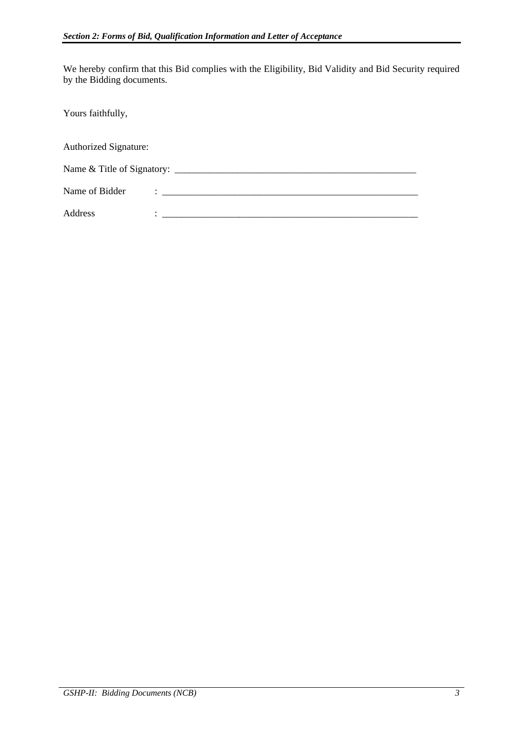We hereby confirm that this Bid complies with the Eligibility, Bid Validity and Bid Security required by the Bidding documents.

Yours faithfully,

| <b>Authorized Signature:</b> |                                                                                 |
|------------------------------|---------------------------------------------------------------------------------|
|                              |                                                                                 |
| Name of Bidder               | The contract of the contract of the contract of the contract of the contract of |
| Address                      |                                                                                 |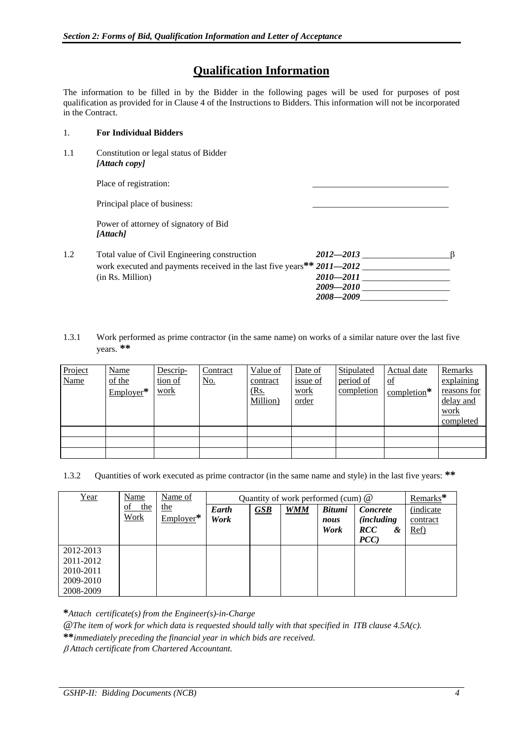# **Qualification Information**

The information to be filled in by the Bidder in the following pages will be used for purposes of post qualification as provided for in Clause 4 of the Instructions to Bidders. This information will not be incorporated in the Contract.

### 1. **For Individual Bidders**

1.1 Constitution or legal status of Bidder  *[Attach copy]*

Place of registration:

Principal place of business:

 Power of attorney of signatory of Bid  *[Attach]*

| 1.2 | Total value of Civil Engineering construction                          | 2012—2013 |
|-----|------------------------------------------------------------------------|-----------|
|     | work executed and payments received in the last five years** 2011–2012 |           |
|     | (in Rs. Million)                                                       | 2010—2011 |
|     |                                                                        | 2009—2010 |
|     |                                                                        | 2008—2009 |

1.3.1 Work performed as prime contractor (in the same name) on works of a similar nature over the last five years. **\*\***

| Project<br><b>Name</b> | <b>Name</b><br>of the<br>$Employer*$ | Descrip-<br>tion of<br>work | Contract<br><u>No.</u> | Value of<br>contract<br><u>(Rs.</u><br>Million) | Date of<br><u>issue of</u><br>work<br><u>order</u> | Stipulated<br>period of<br>completion | Actual date<br>$\Omega$<br>$completion$ <sup>*</sup> | Remarks<br>explaining<br>reasons for<br>delay and<br>work<br>completed |
|------------------------|--------------------------------------|-----------------------------|------------------------|-------------------------------------------------|----------------------------------------------------|---------------------------------------|------------------------------------------------------|------------------------------------------------------------------------|
|                        |                                      |                             |                        |                                                 |                                                    |                                       |                                                      |                                                                        |
|                        |                                      |                             |                        |                                                 |                                                    |                                       |                                                      |                                                                        |
|                        |                                      |                             |                        |                                                 |                                                    |                                       |                                                      |                                                                        |

1.3.2 Quantities of work executed as prime contractor (in the same name and style) in the last five years: **\*\***

| Year                                                          | Name                     | Name of            |               |     | Quantity of work performed (cum) $@$ |                               |                                                                     | Remarks*                              |
|---------------------------------------------------------------|--------------------------|--------------------|---------------|-----|--------------------------------------|-------------------------------|---------------------------------------------------------------------|---------------------------------------|
|                                                               | of<br>the<br><b>Work</b> | the<br>$Emplover*$ | Earth<br>Work | GSB | <b>WMM</b>                           | <b>Bitumi</b><br>nous<br>Work | Concrete<br><i>(including)</i><br><b>RCC</b><br>&<br>$\mathbf{PCC}$ | <i>(indicate)</i><br>contract<br>Ref) |
| 2012-2013<br>2011-2012<br>2010-2011<br>2009-2010<br>2008-2009 |                          |                    |               |     |                                      |                               |                                                                     |                                       |

**\****Attach certificate(s) from the Engineer(s)-in-Charge* 

@*The item of work for which data is requested should tally with that specified in ITB clause 4.5A(c).* 

**\*\****immediately preceding the financial year in which bids are received.* 

 *Attach certificate from Chartered Accountant.*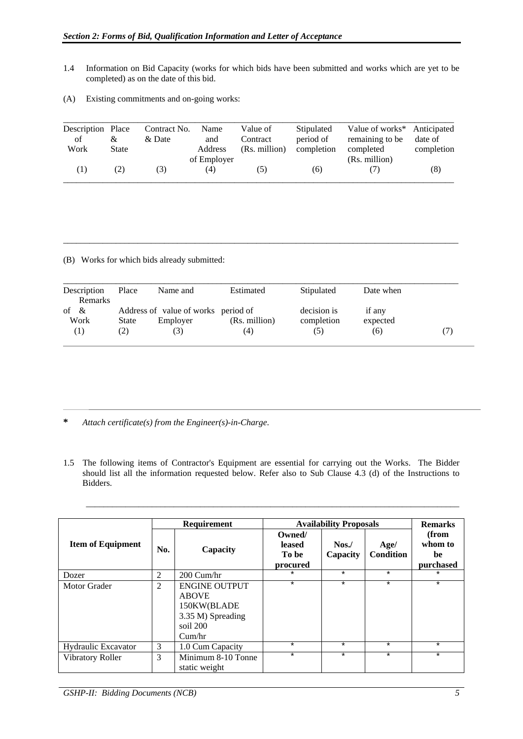- 1.4 Information on Bid Capacity (works for which bids have been submitted and works which are yet to be completed) as on the date of this bid.
- (A) Existing commitments and on-going works:

| Description Place |       | Contract No. | Name        | Value of      | Stipulated | Value of works* Anticipated |            |
|-------------------|-------|--------------|-------------|---------------|------------|-----------------------------|------------|
| οf                | &     | & Date       | and         | Contract      | period of  | remaining to be             | date of    |
| Work              | State |              | Address     | (Rs. million) | completion | completed                   | completion |
|                   |       |              | of Employer |               |            | (Rs. million)               |            |
| (1)               | (2)   | (3)          | (4)         | (၁)           | (6)        |                             | (8)        |

(B) Works for which bids already submitted:

| Description | Place | Name and                            | Estimated     | Stipulated  | Date when |  |
|-------------|-------|-------------------------------------|---------------|-------------|-----------|--|
| Remarks     |       |                                     |               |             |           |  |
| of $\&$     |       | Address of value of works period of |               | decision is | if any    |  |
| Work        | State | Employer                            | (Rs. million) | completion  | expected  |  |
| (1)         | (2)   |                                     | (4)           | (5)         | (6)       |  |

 $\_$  ,  $\_$  ,  $\_$  ,  $\_$  ,  $\_$  ,  $\_$  ,  $\_$  ,  $\_$  ,  $\_$  ,  $\_$  ,  $\_$  ,  $\_$  ,  $\_$  ,  $\_$  ,  $\_$  ,  $\_$  ,  $\_$  ,  $\_$  ,  $\_$  ,  $\_$  ,  $\_$  ,  $\_$  ,  $\_$  ,  $\_$  ,  $\_$  ,  $\_$  ,  $\_$  ,  $\_$  ,  $\_$  ,  $\_$  ,  $\_$  ,  $\_$  ,  $\_$  ,  $\_$  ,  $\_$  ,  $\_$  ,  $\_$  ,

- **\*** *Attach certificate(s) from the Engineer(s)-in-Charge*.
- 1.5 The following items of Contractor's Equipment are essential for carrying out the Works. The Bidder should list all the information requested below. Refer also to Sub Clause 4.3 (d) of the Instructions to Bidders.

 $\mathcal{L} = \{ \mathcal{L} = \{ \mathcal{L} = \{ \mathcal{L} = \mathcal{L} \} \mid \mathcal{L} = \{ \mathcal{L} = \{ \mathcal{L} = \mathcal{L} \} \mid \mathcal{L} = \{ \mathcal{L} = \{ \mathcal{L} = \mathcal{L} = \mathcal{L} = \{ \mathcal{L} = \mathcal{L} = \mathcal{L} = \mathcal{L} = \mathcal{L} = \mathcal{L} \} \}$ 

|                            |     | Requirement                                                                                    |                                       | <b>Availability Proposals</b> |                          | <b>Remarks</b>                      |
|----------------------------|-----|------------------------------------------------------------------------------------------------|---------------------------------------|-------------------------------|--------------------------|-------------------------------------|
| <b>Item of Equipment</b>   | No. | Capacity                                                                                       | Owned/<br>leased<br>To be<br>procured | $N$ os./<br>Capacity          | Age/<br><b>Condition</b> | (from<br>whom to<br>be<br>purchased |
| Dozer                      | 2   | 200 Cum/hr                                                                                     | $\star$                               | $\star$                       | $\star$                  | $\ast$                              |
| Motor Grader               | 2   | <b>ENGINE OUTPUT</b><br><b>ABOVE</b><br>150KW(BLADE<br>3.35 M) Spreading<br>soil 200<br>Cum/hr | $\star$                               | $\star$                       | $\star$                  | $\star$                             |
| <b>Hydraulic Excavator</b> | 3   | 1.0 Cum Capacity                                                                               | $\star$                               | $\star$                       | $\star$                  | $\star$                             |
| Vibratory Roller           | 3   | Minimum 8-10 Tonne<br>static weight                                                            | $\star$                               | $\star$                       | $\star$                  | $\star$                             |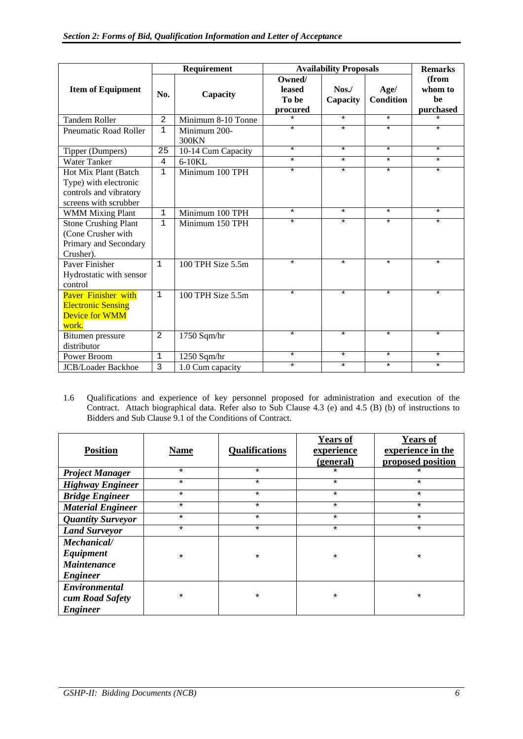|                                                                                                  |                | Requirement           |                                       | <b>Availability Proposals</b> |                          | <b>Remarks</b>                      |
|--------------------------------------------------------------------------------------------------|----------------|-----------------------|---------------------------------------|-------------------------------|--------------------------|-------------------------------------|
| <b>Item of Equipment</b>                                                                         | No.            | Capacity              | Owned/<br>leased<br>To be<br>procured | $N$ os./<br>Capacity          | Age/<br><b>Condition</b> | (from<br>whom to<br>be<br>purchased |
| <b>Tandem Roller</b>                                                                             | $\overline{2}$ | Minimum 8-10 Tonne    | $\star$                               | $\star$                       | $\star$                  | $\star$                             |
| Pneumatic Road Roller                                                                            | $\mathbf 1$    | Minimum 200-<br>300KN | $\star$                               | $\star$                       | $\star$                  | $\star$                             |
| Tipper (Dumpers)                                                                                 | 25             | 10-14 Cum Capacity    | $\star$                               | $\star$                       | $\star$                  | $\star$                             |
| <b>Water Tanker</b>                                                                              | $\overline{4}$ | $6-10KL$              | $\star$                               | $\star$                       | $\star$                  | $\star$                             |
| Hot Mix Plant (Batch<br>Type) with electronic<br>controls and vibratory<br>screens with scrubber | $\mathbf 1$    | Minimum 100 TPH       | $\star$                               | $\star$                       | $\star$                  | $\star$                             |
| <b>WMM Mixing Plant</b>                                                                          | $\mathbf 1$    | Minimum 100 TPH       | $\star$                               | $\star$                       | $\star$                  | $\star$                             |
| <b>Stone Crushing Plant</b><br>(Cone Crusher with<br>Primary and Secondary<br>Crusher).          | $\mathbf 1$    | Minimum 150 TPH       | $\star$                               | $\star$                       | $\star$                  | $\star$                             |
| Paver Finisher<br>Hydrostatic with sensor<br>control                                             | $\mathbf{1}$   | 100 TPH Size 5.5m     | $\star$                               | $\star$                       | $\star$                  | $\star$                             |
| Paver Finisher with<br><b>Electronic Sensing</b><br><b>Device for WMM</b><br>work.               | $\mathbf{1}$   | 100 TPH Size 5.5m     | $\star$                               | $\star$                       | $\star$                  | $\star$                             |
| Bitumen pressure<br>distributor                                                                  | 2              | 1750 Sqm/hr           | $\star$                               | $\star$                       | $\star$                  | $\star$                             |
| Power Broom                                                                                      | $\mathbf{1}$   | $1250$ Sqm/hr         | $\star$                               | $\star$                       | $\star$                  | $\star$                             |
| <b>JCB/Loader Backhoe</b>                                                                        | 3              | 1.0 Cum capacity      | $\star$                               | $\star$                       | $\star$                  | $\star$                             |

1.6 Qualifications and experience of key personnel proposed for administration and execution of the Contract. Attach biographical data. Refer also to Sub Clause 4.3 (e) and 4.5 (B) (b) of instructions to Bidders and Sub Clause 9.1 of the Conditions of Contract.

| <b>Position</b>                                                   | <b>Name</b> | <b>Qualifications</b> | <b>Years of</b><br>experience<br>(general) | <b>Years of</b><br>experience in the<br>proposed position |
|-------------------------------------------------------------------|-------------|-----------------------|--------------------------------------------|-----------------------------------------------------------|
| <b>Project Manager</b>                                            | $\star$     | $\star$               | $\star$                                    | $^\star$                                                  |
| <b>Highway Engineer</b>                                           | $\star$     | $\star$               | $\star$                                    | $\star$                                                   |
| <b>Bridge Engineer</b>                                            | $\star$     | $\star$               | $\star$                                    | $\star$                                                   |
| <b>Material Engineer</b>                                          | $\star$     | $\star$               | $\star$                                    | ¥                                                         |
| <b>Quantity Surveyor</b>                                          | $\star$     | $\star$               | $\star$                                    | $\star$                                                   |
| <b>Land Surveyor</b>                                              | $\star$     | $\star$               | $\star$                                    | $\star$                                                   |
| Mechanical/<br>Equipment<br><b>Maintenance</b><br><b>Engineer</b> | $\star$     | $\star$               | $\star$                                    | $\star$                                                   |
| Environmental<br>cum Road Safety<br><b>Engineer</b>               | $\star$     | $\star$               | $\star$                                    | $\ast$                                                    |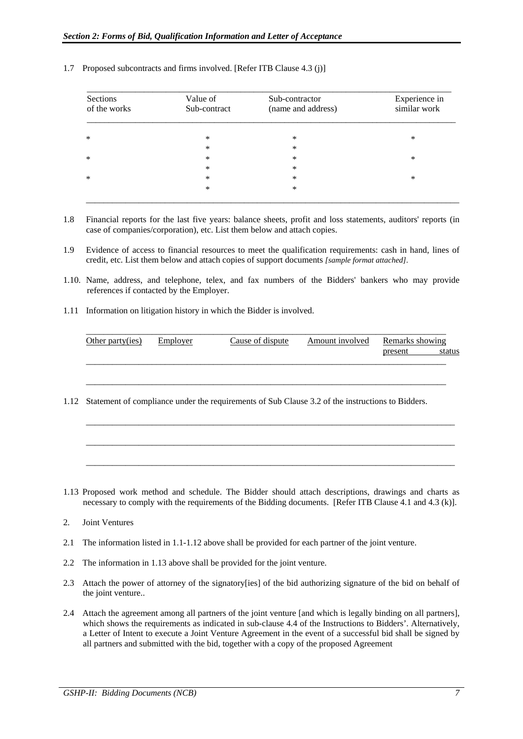| Sections<br>of the works | Value of<br>Sub-contract | Sub-contractor<br>(name and address) | Experience in<br>similar work |
|--------------------------|--------------------------|--------------------------------------|-------------------------------|
| $\ast$                   | $\ast$                   | *                                    | *                             |
|                          | ∗                        | $\ast$                               |                               |
| $\ast$                   | *                        | $\ast$                               | *                             |
|                          | $\ast$                   | $\ast$                               |                               |
| $\ast$                   | $\ast$                   | $\ast$                               | *                             |
|                          | $\ast$                   | $\ast$                               |                               |

#### 1.7 Proposed subcontracts and firms involved. [Refer ITB Clause 4.3 (j)]

- 1.8 Financial reports for the last five years: balance sheets, profit and loss statements, auditors' reports (in case of companies/corporation), etc. List them below and attach copies.
- 1.9 Evidence of access to financial resources to meet the qualification requirements: cash in hand, lines of credit, etc. List them below and attach copies of support documents *[sample format attached]*.
- 1.10. Name, address, and telephone, telex, and fax numbers of the Bidders' bankers who may provide references if contacted by the Employer.
- 1.11 Information on litigation history in which the Bidder is involved.

| Other party(ies) | Employer | Cause of dispute | Amount involved Remarks showing |         |  |
|------------------|----------|------------------|---------------------------------|---------|--|
|                  |          |                  |                                 | present |  |
|                  |          |                  |                                 |         |  |

1.12 Statement of compliance under the requirements of Sub Clause 3.2 of the instructions to Bidders.

 $\mathcal{L} = \{ \mathcal{L} = \{ \mathcal{L} = \{ \mathcal{L} = \mathcal{L} \} \mid \mathcal{L} = \{ \mathcal{L} = \{ \mathcal{L} = \mathcal{L} \} \mid \mathcal{L} = \{ \mathcal{L} = \{ \mathcal{L} = \mathcal{L} = \mathcal{L} \} \mid \mathcal{L} = \{ \mathcal{L} = \{ \mathcal{L} = \mathcal{L} = \mathcal{L} = \mathcal{L} \} \mid \mathcal{L} = \{ \mathcal{L} = \{ \mathcal{L} = \mathcal{L} = \mathcal{L} = \{ \mathcal{L} = \math$ 

 $\mathcal{L} = \{ \mathcal{L} = \{ \mathcal{L} = \{ \mathcal{L} = \mathcal{L} \} \mid \mathcal{L} = \{ \mathcal{L} = \{ \mathcal{L} = \mathcal{L} \} \mid \mathcal{L} = \{ \mathcal{L} = \{ \mathcal{L} = \mathcal{L} = \mathcal{L} = \mathcal{L} \} \mid \mathcal{L} = \{ \mathcal{L} = \{ \mathcal{L} = \mathcal{L} = \mathcal{L} = \mathcal{L} = \mathcal{L} = \mathcal{L} \} \}$ 

 $\mathcal{L} = \{ \mathcal{L} = \{ \mathcal{L} = \{ \mathcal{L} = \mathcal{L} \} \mid \mathcal{L} = \{ \mathcal{L} = \{ \mathcal{L} = \mathcal{L} \} \mid \mathcal{L} = \{ \mathcal{L} = \{ \mathcal{L} = \mathcal{L} = \mathcal{L} = \mathcal{L} \} \mid \mathcal{L} = \{ \mathcal{L} = \{ \mathcal{L} = \mathcal{L} = \mathcal{L} = \mathcal{L} = \mathcal{L} = \mathcal{L} \} \}$ 

 $\mathcal{L} = \{ \mathcal{L} = \{ \mathcal{L} = \{ \mathcal{L} = \mathcal{L} \} \mid \mathcal{L} = \{ \mathcal{L} = \{ \mathcal{L} = \mathcal{L} = \mathcal{L} = \mathcal{L} \} \mid \mathcal{L} = \{ \mathcal{L} = \{ \mathcal{L} = \mathcal{L} = \mathcal{L} = \mathcal{L} = \mathcal{L} = \mathcal{L} = \mathcal{L} = \mathcal{L} = \mathcal{L} = \mathcal{L} = \mathcal{L} = \mathcal{L} = \mathcal{L} = \mathcal{L} = \mathcal{L} = \mathcal{$ 

- 1.13 Proposed work method and schedule. The Bidder should attach descriptions, drawings and charts as necessary to comply with the requirements of the Bidding documents. [Refer ITB Clause 4.1 and 4.3 (k)].
- 2. Joint Ventures
- 2.1 The information listed in 1.1-1.12 above shall be provided for each partner of the joint venture.
- 2.2 The information in 1.13 above shall be provided for the joint venture.
- 2.3 Attach the power of attorney of the signatory[ies] of the bid authorizing signature of the bid on behalf of the joint venture..
- 2.4 Attach the agreement among all partners of the joint venture [and which is legally binding on all partners], which shows the requirements as indicated in sub-clause 4.4 of the Instructions to Bidders'. Alternatively, a Letter of Intent to execute a Joint Venture Agreement in the event of a successful bid shall be signed by all partners and submitted with the bid, together with a copy of the proposed Agreement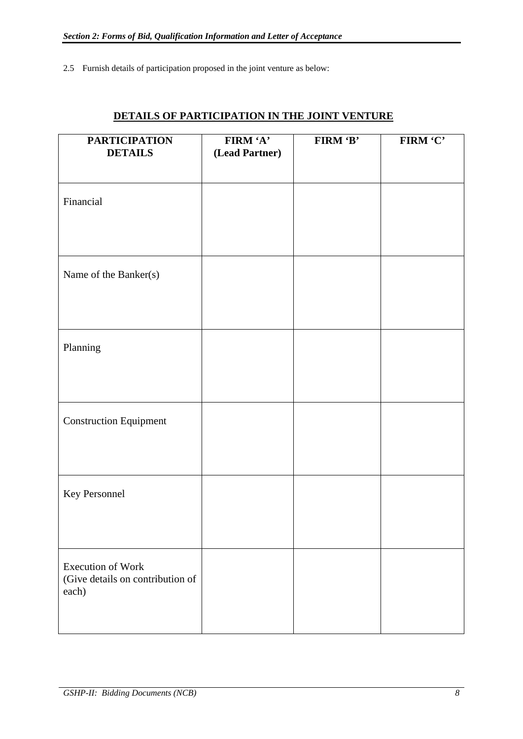2.5 Furnish details of participation proposed in the joint venture as below:

| <b>PARTICIPATION</b><br><b>DETAILS</b>                                | FIRM 'A'<br>(Lead Partner) | FIRM 'B' | FIRM 'C' |
|-----------------------------------------------------------------------|----------------------------|----------|----------|
|                                                                       |                            |          |          |
| Financial                                                             |                            |          |          |
| Name of the Banker(s)                                                 |                            |          |          |
| Planning                                                              |                            |          |          |
| <b>Construction Equipment</b>                                         |                            |          |          |
| Key Personnel                                                         |                            |          |          |
| <b>Execution of Work</b><br>(Give details on contribution of<br>each) |                            |          |          |

# **DETAILS OF PARTICIPATION IN THE JOINT VENTURE**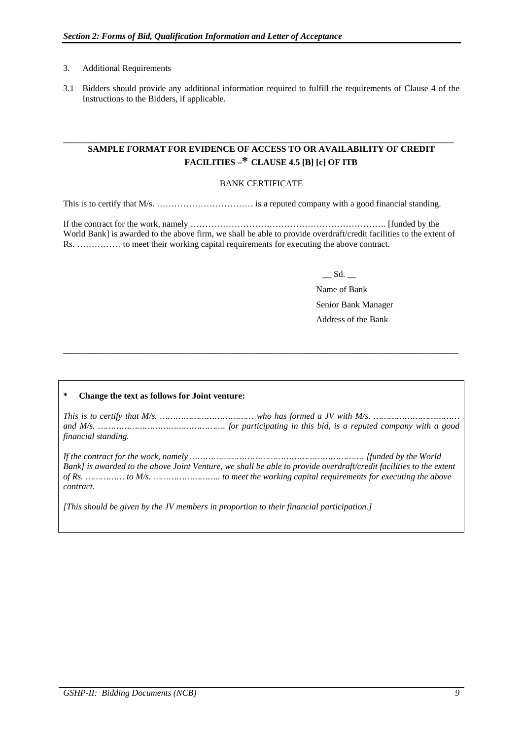### 3. Additional Requirements

3.1 Bidders should provide any additional information required to fulfill the requirements of Clause 4 of the Instructions to the Bidders, if applicable.

## **SAMPLE FORMAT FOR EVIDENCE OF ACCESS TO OR AVAILABILITY OF CREDIT FACILITIES –\* CLAUSE 4.5 [B] [c] OF ITB**

\_\_\_\_\_\_\_\_\_\_\_\_\_\_\_\_\_\_\_\_\_\_\_\_\_\_\_\_\_\_\_\_\_\_\_\_\_\_\_\_\_\_\_\_\_\_\_\_\_\_\_\_\_\_\_\_\_\_\_\_\_\_\_\_\_\_\_\_\_\_\_\_\_\_\_\_\_\_\_\_\_\_\_\_\_\_\_\_\_

### BANK CERTIFICATE

This is to certify that M/s. …………………………… is a reputed company with a good financial standing.

If the contract for the work, namely …………………………………………………………. [funded by the World Bank] is awarded to the above firm, we shall be able to provide overdraft/credit facilities to the extent of Rs. …………… to meet their working capital requirements for executing the above contract.

\_\_ Sd. \_\_

 Name of Bank Senior Bank Manager Address of the Bank

#### **\* Change the text as follows for Joint venture:**

*This is to certify that M/s. ……………………………… who has formed a JV with M/s. …………………………… and M/s. …………………………………………. for participating in this bid, is a reputed company with a good financial standing.* 

 $\_$  ,  $\_$  ,  $\_$  ,  $\_$  ,  $\_$  ,  $\_$  ,  $\_$  ,  $\_$  ,  $\_$  ,  $\_$  ,  $\_$  ,  $\_$  ,  $\_$  ,  $\_$  ,  $\_$  ,  $\_$  ,  $\_$  ,  $\_$  ,  $\_$  ,  $\_$  ,  $\_$  ,  $\_$  ,  $\_$  ,  $\_$  ,  $\_$  ,  $\_$  ,  $\_$  ,  $\_$  ,  $\_$  ,  $\_$  ,  $\_$  ,  $\_$  ,  $\_$  ,  $\_$  ,  $\_$  ,  $\_$  ,  $\_$  ,

*If the contract for the work, namely …………………………………………………………. [funded by the World Bank] is awarded to the above Joint Venture, we shall be able to provide overdraft/credit facilities to the extent of Rs. …………… to M/s. …………………….. to meet the working capital requirements for executing the above contract.* 

*[This should be given by the JV members in proportion to their financial participation.]*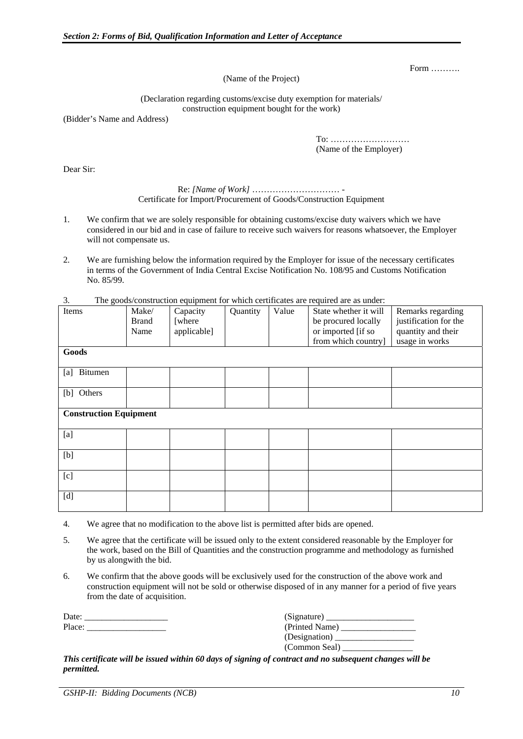Form ……….

(Name of the Project)

(Declaration regarding customs/excise duty exemption for materials/ construction equipment bought for the work)

(Bidder's Name and Address)

 To: ……………………… (Name of the Employer)

Dear Sir:

### Re: *[Name of Work]* ………………………… - Certificate for Import/Procurement of Goods/Construction Equipment

- 1. We confirm that we are solely responsible for obtaining customs/excise duty waivers which we have considered in our bid and in case of failure to receive such waivers for reasons whatsoever, the Employer will not compensate us.
- 2. We are furnishing below the information required by the Employer for issue of the necessary certificates in terms of the Government of India Central Excise Notification No. 108/95 and Customs Notification No. 85/99.
- 3. The goods/construction equipment for which certificates are required are as under:

| Items                         | Make/<br><b>Brand</b><br>Name | Capacity<br>[where<br>applicable] | Quantity | Value | State whether it will<br>be procured locally<br>or imported [if so<br>from which country] | Remarks regarding<br>justification for the<br>quantity and their<br>usage in works |
|-------------------------------|-------------------------------|-----------------------------------|----------|-------|-------------------------------------------------------------------------------------------|------------------------------------------------------------------------------------|
| Goods                         |                               |                                   |          |       |                                                                                           |                                                                                    |
| Bitumen<br>[a]                |                               |                                   |          |       |                                                                                           |                                                                                    |
| [b] Others                    |                               |                                   |          |       |                                                                                           |                                                                                    |
| <b>Construction Equipment</b> |                               |                                   |          |       |                                                                                           |                                                                                    |
| [a]                           |                               |                                   |          |       |                                                                                           |                                                                                    |
| [b]                           |                               |                                   |          |       |                                                                                           |                                                                                    |
| [c]                           |                               |                                   |          |       |                                                                                           |                                                                                    |
| [d]                           |                               |                                   |          |       |                                                                                           |                                                                                    |

- 4. We agree that no modification to the above list is permitted after bids are opened.
- 5. We agree that the certificate will be issued only to the extent considered reasonable by the Employer for the work, based on the Bill of Quantities and the construction programme and methodology as furnished by us alongwith the bid.
- 6. We confirm that the above goods will be exclusively used for the construction of the above work and construction equipment will not be sold or otherwise disposed of in any manner for a period of five years from the date of acquisition.

| Jate: |  |
|-------|--|
| ٬ەرە  |  |

| Date:  | (Signature)    |
|--------|----------------|
| Place: | (Printed Name) |
|        | (Designation)  |
|        | (Common Seal)  |

*This certificate will be issued within 60 days of signing of contract and no subsequent changes will be permitted.*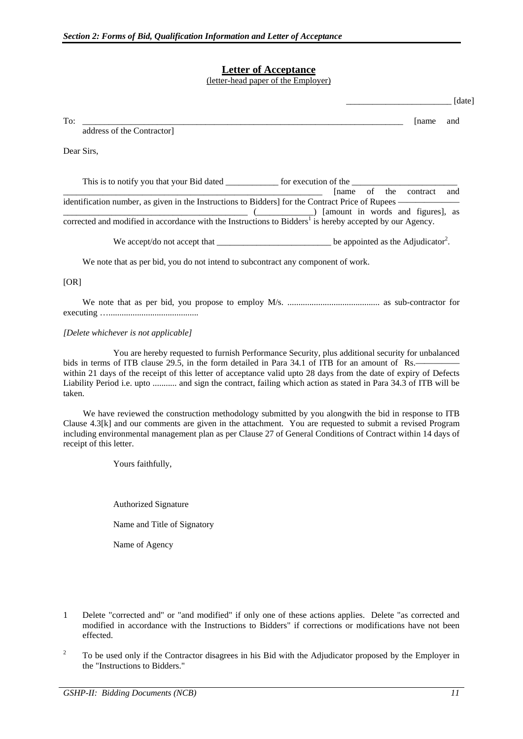## **Letter of Acceptance**

(letter-head paper of the Employer)

|                                                                                                                              |                       |        | [date] |
|------------------------------------------------------------------------------------------------------------------------------|-----------------------|--------|--------|
| To:<br><u> 1989 - Johann Harry Harry Harry Harry Harry Harry Harry Harry Harry Harry Harry Harry Harry Harry Harry Harry</u> |                       | [name] | and    |
| address of the Contractor]                                                                                                   |                       |        |        |
| Dear Sirs,                                                                                                                   |                       |        |        |
|                                                                                                                              | Iname of the contract |        | and    |
| ( [amount in words and figures], as                                                                                          |                       |        |        |
| corrected and modified in accordance with the Instructions to Bidders <sup>1</sup> is hereby accepted by our Agency.         |                       |        |        |
|                                                                                                                              |                       |        |        |
| We note that as per bid, you do not intend to subcontract any component of work.                                             |                       |        |        |
| [OR]                                                                                                                         |                       |        |        |
|                                                                                                                              |                       |        |        |
| [Delete whichever is not applicable]                                                                                         |                       |        |        |

 You are hereby requested to furnish Performance Security, plus additional security for unbalanced bids in terms of ITB clause 29.5, in the form detailed in Para 34.1 of ITB for an amount of Rs. within 21 days of the receipt of this letter of acceptance valid upto 28 days from the date of expiry of Defects Liability Period i.e. upto ........... and sign the contract, failing which action as stated in Para 34.3 of ITB will be taken.

 We have reviewed the construction methodology submitted by you alongwith the bid in response to ITB Clause 4.3[k] and our comments are given in the attachment. You are requested to submit a revised Program including environmental management plan as per Clause 27 of General Conditions of Contract within 14 days of receipt of this letter.

Yours faithfully,

 Authorized Signature Name and Title of Signatory Name of Agency

- 1 Delete "corrected and" or "and modified" if only one of these actions applies. Delete "as corrected and modified in accordance with the Instructions to Bidders" if corrections or modifications have not been effected.
- 2 To be used only if the Contractor disagrees in his Bid with the Adjudicator proposed by the Employer in the "Instructions to Bidders."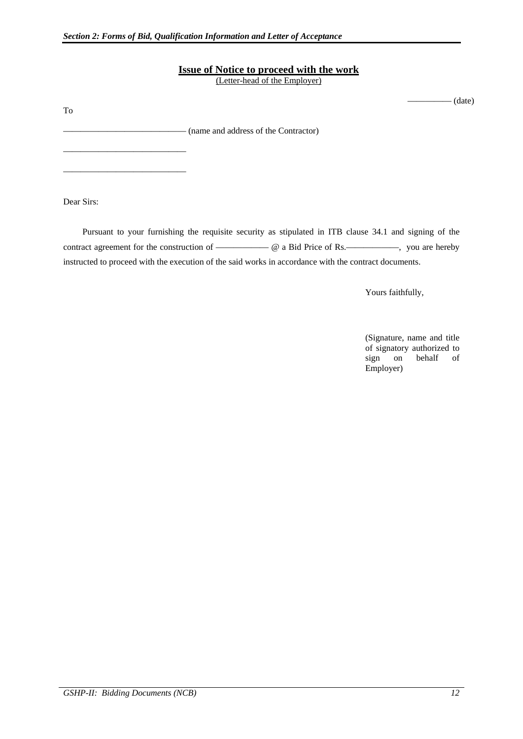### **Issue of Notice to proceed with the work**

(Letter-head of the Employer)

 $-$  (date)

—————————————— (name and address of the Contractor)

Dear Sirs:

——————————————

——————————————

To

 Pursuant to your furnishing the requisite security as stipulated in ITB clause 34.1 and signing of the contract agreement for the construction of  $\qquad \qquad \qquad \text{and} \qquad \qquad \text{and} \qquad \text{Price of Rs.}$ instructed to proceed with the execution of the said works in accordance with the contract documents.

Yours faithfully,

 (Signature, name and title of signatory authorized to sign on behalf of Employer)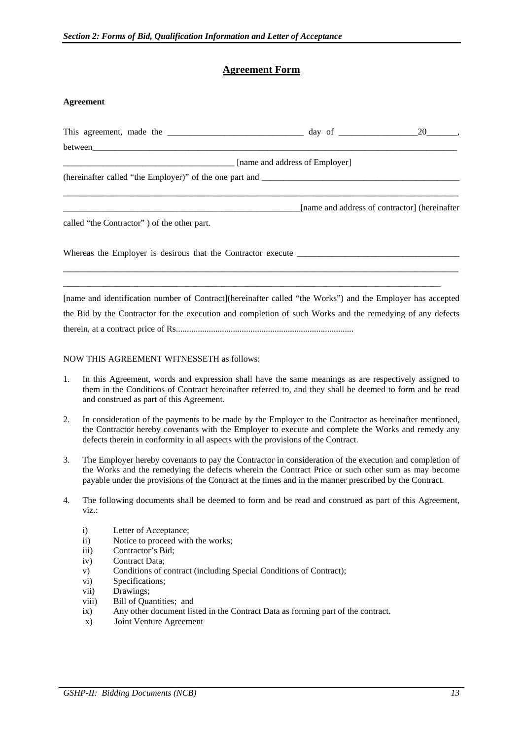## **Agreement Form**

### **Agreement**

|                                                                                                            | 20,                                           |
|------------------------------------------------------------------------------------------------------------|-----------------------------------------------|
|                                                                                                            |                                               |
| [name and address of Employer]                                                                             |                                               |
|                                                                                                            |                                               |
|                                                                                                            | [name and address of contractor] (hereinafter |
| called "the Contractor" of the other part.                                                                 |                                               |
|                                                                                                            |                                               |
|                                                                                                            |                                               |
| [name and identification number of Contract](hereinafter called "the Works") and the Employer has accepted |                                               |
| the Bid by the Contractor for the execution and completion of such Works and the remedying of any defects  |                                               |
|                                                                                                            |                                               |

#### NOW THIS AGREEMENT WITNESSETH as follows:

- 1. In this Agreement, words and expression shall have the same meanings as are respectively assigned to them in the Conditions of Contract hereinafter referred to, and they shall be deemed to form and be read and construed as part of this Agreement.
- 2. In consideration of the payments to be made by the Employer to the Contractor as hereinafter mentioned, the Contractor hereby covenants with the Employer to execute and complete the Works and remedy any defects therein in conformity in all aspects with the provisions of the Contract.
- 3. The Employer hereby covenants to pay the Contractor in consideration of the execution and completion of the Works and the remedying the defects wherein the Contract Price or such other sum as may become payable under the provisions of the Contract at the times and in the manner prescribed by the Contract.
- 4. The following documents shall be deemed to form and be read and construed as part of this Agreement, viz.:
	- i) Letter of Acceptance;
	- ii) Notice to proceed with the works;
	- iii) Contractor's Bid;
	- iv) Contract Data;
	- v) Conditions of contract (including Special Conditions of Contract);
	- vi) Specifications;
	- vii) Drawings;
	- viii) Bill of Quantities; and
	- ix) Any other document listed in the Contract Data as forming part of the contract.
	- x) Joint Venture Agreement